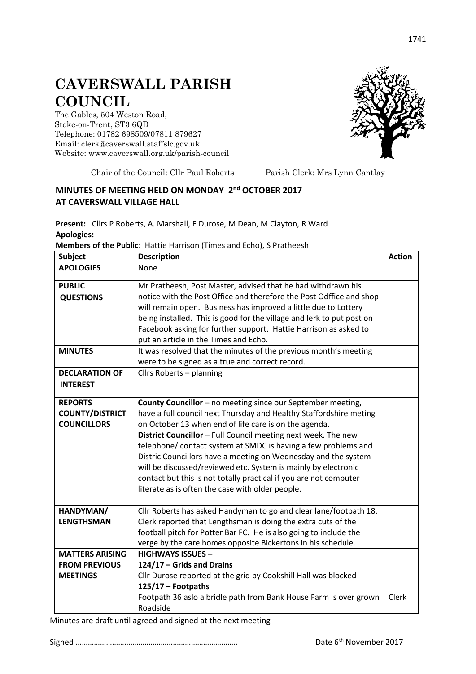## **CAVERSWALL PARISH COUNCIL**

The Gables, 504 Weston Road, Stoke-on-Trent, ST3 6QD Telephone: 01782 698509/07811 879627 Email: clerk@caverswall.staffslc.gov.uk Website: [www.c](http://www.dilhorneparishcouncil.co.uk/)averswall.org.uk/parish-council



Chair of the Council: Cllr Paul Roberts Parish Clerk: Mrs Lynn Cantlay

## **MINUTES OF MEETING HELD ON MONDAY 2 nd OCTOBER 2017 AT CAVERSWALL VILLAGE HALL**

**Present:** Cllrs P Roberts, A. Marshall, E Durose, M Dean, M Clayton, R Ward **Apologies:**

**Members of the Public:** Hattie Harrison (Times and Echo), S Pratheesh

| <b>Subject</b>         | <b>Description</b>                                                    | <b>Action</b> |
|------------------------|-----------------------------------------------------------------------|---------------|
| <b>APOLOGIES</b>       | None                                                                  |               |
| <b>PUBLIC</b>          | Mr Pratheesh, Post Master, advised that he had withdrawn his          |               |
| <b>QUESTIONS</b>       | notice with the Post Office and therefore the Post Odffice and shop   |               |
|                        | will remain open. Business has improved a little due to Lottery       |               |
|                        | being installed. This is good for the village and lerk to put post on |               |
|                        | Facebook asking for further support. Hattie Harrison as asked to      |               |
|                        | put an article in the Times and Echo.                                 |               |
| <b>MINUTES</b>         | It was resolved that the minutes of the previous month's meeting      |               |
|                        | were to be signed as a true and correct record.                       |               |
| <b>DECLARATION OF</b>  | Cllrs Roberts - planning                                              |               |
| <b>INTEREST</b>        |                                                                       |               |
| <b>REPORTS</b>         | <b>County Councillor</b> – no meeting since our September meeting,    |               |
| <b>COUNTY/DISTRICT</b> | have a full council next Thursday and Healthy Staffordshire meting    |               |
| <b>COUNCILLORS</b>     | on October 13 when end of life care is on the agenda.                 |               |
|                        | District Councillor - Full Council meeting next week. The new         |               |
|                        | telephone/ contact system at SMDC is having a few problems and        |               |
|                        | Distric Councillors have a meeting on Wednesday and the system        |               |
|                        | will be discussed/reviewed etc. System is mainly by electronic        |               |
|                        | contact but this is not totally practical if you are not computer     |               |
|                        | literate as is often the case with older people.                      |               |
| HANDYMAN/              | Cllr Roberts has asked Handyman to go and clear lane/footpath 18.     |               |
| <b>LENGTHSMAN</b>      | Clerk reported that Lengthsman is doing the extra cuts of the         |               |
|                        | football pitch for Potter Bar FC. He is also going to include the     |               |
|                        | verge by the care homes opposite Bickertons in his schedule.          |               |
| <b>MATTERS ARISING</b> | <b>HIGHWAYS ISSUES -</b>                                              |               |
| <b>FROM PREVIOUS</b>   | 124/17 - Grids and Drains                                             |               |
| <b>MEETINGS</b>        | Cllr Durose reported at the grid by Cookshill Hall was blocked        |               |
|                        | 125/17 - Footpaths                                                    |               |
|                        | Footpath 36 aslo a bridle path from Bank House Farm is over grown     | Clerk         |
|                        | Roadside                                                              |               |

Minutes are draft until agreed and signed at the next meeting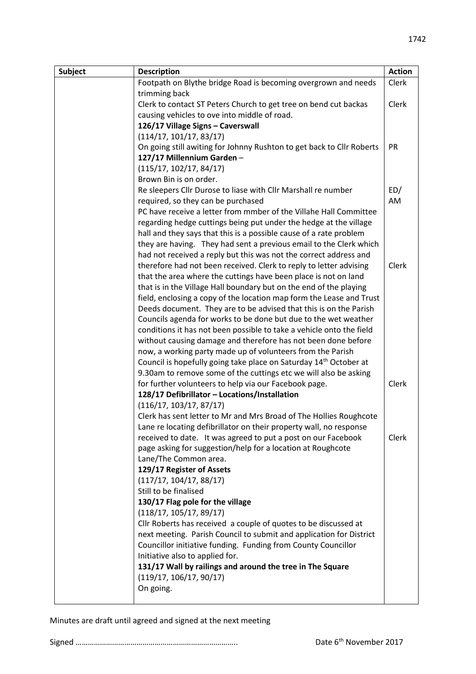| <b>Subject</b> | <b>Description</b>                                                                   | <b>Action</b> |
|----------------|--------------------------------------------------------------------------------------|---------------|
|                | Footpath on Blythe bridge Road is becoming overgrown and needs                       | Clerk         |
|                | trimming back                                                                        |               |
|                | Clerk to contact ST Peters Church to get tree on bend cut backas                     | Clerk         |
|                | causing vehicles to ove into middle of road.                                         |               |
|                | 126/17 Village Signs - Caverswall                                                    |               |
|                | (114/17, 101/17, 83/17)                                                              |               |
|                | On going still awiting for Johnny Rushton to get back to Cllr Roberts                | PR            |
|                | 127/17 Millennium Garden-                                                            |               |
|                | (115/17, 102/17, 84/17)                                                              |               |
|                | Brown Bin is on order.                                                               |               |
|                | Re sleepers Cllr Durose to liase with Cllr Marshall re number                        | ED/           |
|                | required, so they can be purchased                                                   | AM            |
|                | PC have receive a letter from mmber of the Villahe Hall Committee                    |               |
|                | regarding hedge cuttings being put under the hedge at the village                    |               |
|                | hall and they says that this is a possible cause of a rate problem                   |               |
|                | they are having. They had sent a previous email to the Clerk which                   |               |
|                | had not received a reply but this was not the correct address and                    |               |
|                | therefore had not been received. Clerk to reply to letter advising                   | Clerk         |
|                | that the area where the cuttings have been place is not on land                      |               |
|                | that is in the Village Hall boundary but on the end of the playing                   |               |
|                | field, enclosing a copy of the location map form the Lease and Trust                 |               |
|                | Deeds document. They are to be advised that this is on the Parish                    |               |
|                | Councils agenda for works to be done but due to the wet weather                      |               |
|                | conditions it has not been possible to take a vehicle onto the field                 |               |
|                | without causing damage and therefore has not been done before                        |               |
|                | now, a working party made up of volunteers from the Parish                           |               |
|                | Council is hopefully going take place on Saturday 14 <sup>th</sup> October at        |               |
|                | 9.30am to remove some of the cuttings etc we will also be asking                     |               |
|                | for further volunteers to help via our Facebook page.                                | Clerk         |
|                | 128/17 Defibrillator - Locations/Installation                                        |               |
|                | (116/17, 103/17, 87/17)                                                              |               |
|                | Clerk has sent letter to Mr and Mrs Broad of The Hollies Roughcote                   |               |
|                | Lane re locating defibrillator on their property wall, no response                   |               |
|                | received to date. It was agreed to put a post on our Facebook                        | Clerk         |
|                | page asking for suggestion/help for a location at Roughcote<br>Lane/The Common area. |               |
|                | 129/17 Register of Assets                                                            |               |
|                | (117/17, 104/17, 88/17)                                                              |               |
|                | Still to be finalised                                                                |               |
|                | 130/17 Flag pole for the village                                                     |               |
|                | (118/17, 105/17, 89/17)                                                              |               |
|                | Cllr Roberts has received a couple of quotes to be discussed at                      |               |
|                | next meeting. Parish Council to submit and application for District                  |               |
|                | Councillor initiative funding. Funding from County Councillor                        |               |
|                | Initiative also to applied for.                                                      |               |
|                | 131/17 Wall by railings and around the tree in The Square                            |               |
|                | (119/17, 106/17, 90/17)                                                              |               |
|                | On going.                                                                            |               |
|                |                                                                                      |               |

Minutes are draft until agreed and signed at the next meeting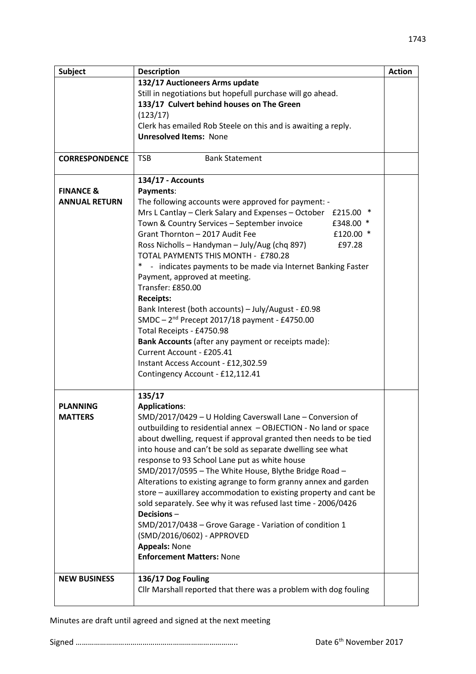| <b>Subject</b>        | <b>Description</b>                                                                    | <b>Action</b> |
|-----------------------|---------------------------------------------------------------------------------------|---------------|
|                       | 132/17 Auctioneers Arms update                                                        |               |
|                       | Still in negotiations but hopefull purchase will go ahead.                            |               |
|                       | 133/17 Culvert behind houses on The Green                                             |               |
|                       | (123/17)                                                                              |               |
|                       | Clerk has emailed Rob Steele on this and is awaiting a reply.                         |               |
|                       | <b>Unresolved Items: None</b>                                                         |               |
|                       |                                                                                       |               |
| <b>CORRESPONDENCE</b> | <b>TSB</b><br><b>Bank Statement</b>                                                   |               |
|                       | 134/17 - Accounts                                                                     |               |
| <b>FINANCE &amp;</b>  | Payments:                                                                             |               |
| <b>ANNUAL RETURN</b>  | The following accounts were approved for payment: -                                   |               |
|                       | Mrs L Cantlay - Clerk Salary and Expenses - October £215.00 *                         |               |
|                       | Town & Country Services - September invoice<br>£348.00 *                              |               |
|                       | Grant Thornton - 2017 Audit Fee<br>£120.00 *                                          |               |
|                       | Ross Nicholls - Handyman - July/Aug (chq 897)<br>£97.28                               |               |
|                       | TOTAL PAYMENTS THIS MONTH - £780.28                                                   |               |
|                       | $\ast$<br>- indicates payments to be made via Internet Banking Faster                 |               |
|                       | Payment, approved at meeting.                                                         |               |
|                       | Transfer: £850.00                                                                     |               |
|                       | <b>Receipts:</b>                                                                      |               |
|                       | Bank Interest (both accounts) - July/August - £0.98                                   |               |
|                       | SMDC - 2 <sup>nd</sup> Precept 2017/18 payment - £4750.00                             |               |
|                       | Total Receipts - £4750.98                                                             |               |
|                       | Bank Accounts (after any payment or receipts made):                                   |               |
|                       | Current Account - £205.41                                                             |               |
|                       | Instant Access Account - £12,302.59                                                   |               |
|                       | Contingency Account - £12,112.41                                                      |               |
|                       | 135/17                                                                                |               |
| <b>PLANNING</b>       | <b>Applications:</b>                                                                  |               |
| <b>MATTERS</b>        | SMD/2017/0429 - U Holding Caverswall Lane - Conversion of                             |               |
|                       | outbuilding to residential annex - OBJECTION - No land or space                       |               |
|                       | about dwelling, request if approval granted then needs to be tied                     |               |
|                       | into house and can't be sold as separate dwelling see what                            |               |
|                       | response to 93 School Lane put as white house                                         |               |
|                       | SMD/2017/0595 - The White House, Blythe Bridge Road -                                 |               |
|                       | Alterations to existing agrange to form granny annex and garden                       |               |
|                       | store - auxillarey accommodation to existing property and cant be                     |               |
|                       | sold separately. See why it was refused last time - 2006/0426                         |               |
|                       | Decisions-                                                                            |               |
|                       |                                                                                       |               |
|                       | SMD/2017/0438 - Grove Garage - Variation of condition 1<br>(SMD/2016/0602) - APPROVED |               |
|                       | <b>Appeals: None</b>                                                                  |               |
|                       | <b>Enforcement Matters: None</b>                                                      |               |
|                       |                                                                                       |               |
| <b>NEW BUSINESS</b>   | 136/17 Dog Fouling                                                                    |               |
|                       | Cllr Marshall reported that there was a problem with dog fouling                      |               |
|                       |                                                                                       |               |
|                       |                                                                                       |               |

Minutes are draft until agreed and signed at the next meeting